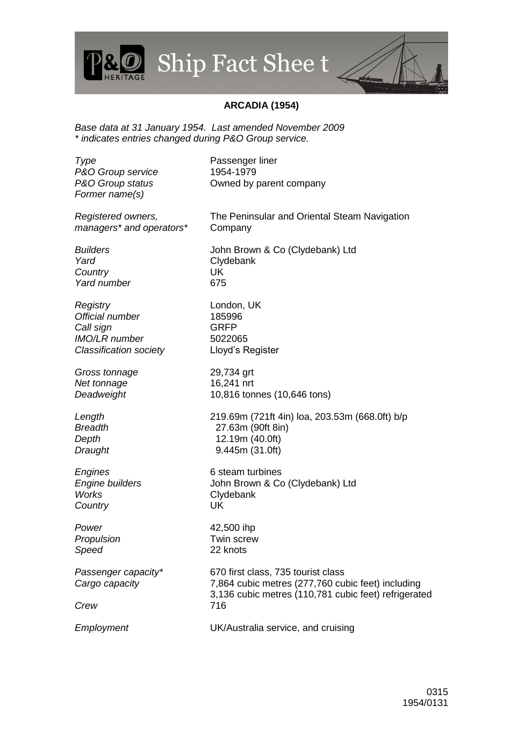## Ship Fact Shee t

## **ARCADIA (1954)**

*Base data at 31 January 1954. Last amended November 2009 \* indicates entries changed during P&O Group service.*

**Type** Passenger liner

*P&O Group service* 1954-1979 *P&O Group status* Owned by parent company *Former name(s) Registered owners, managers\* and operators\** The Peninsular and Oriental Steam Navigation Company *Builders* John Brown & Co (Clydebank) Ltd *Yard* Clydebank *Country* UK *Yard number* 675 *Registry* London, UK *Official number* 185996 *Call sign* GRFP *IMO/LR number* 5022065 *Classification society* Lloyd's Register *Gross tonnage* 29,734 grt *Net tonnage* 16,241 nrt *Deadweight* 10,816 tonnes (10,646 tons) *Length* 219.69m (721ft 4in) loa, 203.53m (668.0ft) b/p *Breadth* 27.63m (90ft 8in) *Depth* 12.19m (40.0ft) *Draught* 9.445m (31.0ft) *Engines* 6 steam turbines *Engine builders* John Brown & Co (Clydebank) Ltd *Works* Clydebank *Country* UK *Power* 42,500 ihp *Propulsion* Twin screw *Speed* 22 knots *Passenger capacity\** 670 first class, 735 tourist class *Cargo capacity* 7,864 cubic metres (277,760 cubic feet) including 3,136 cubic metres (110,781 cubic feet) refrigerated *Crew* 716 *Employment* UK/Australia service, and cruising